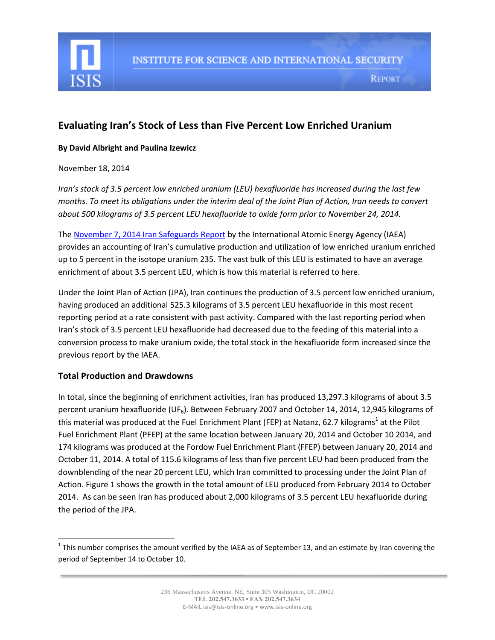

# **Evaluating Iran's Stock of Less than Five Percent Low Enriched Uranium**

#### **By David Albright and Paulina Izewicz**

#### November 18, 2014

*Iran's stock of 3.5 percent low enriched uranium (LEU) hexafluoride has increased during the last few months. To meet its obligations under the interim deal of the Joint Plan of Action, Iran needs to convert about 500 kilograms of 3.5 percent LEU hexafluoride to oxide form prior to November 24, 2014.*

The [November 7, 2014 Iran Safeguards Report](http://www.isis-online.org/uploads/isis-reports/documents/gov-2014-58.pdf) by the International Atomic Energy Agency (IAEA) provides an accounting of Iran's cumulative production and utilization of low enriched uranium enriched up to 5 percent in the isotope uranium 235. The vast bulk of this LEU is estimated to have an average enrichment of about 3.5 percent LEU, which is how this material is referred to here.

Under the Joint Plan of Action (JPA), Iran continues the production of 3.5 percent low enriched uranium, having produced an additional 525.3 kilograms of 3.5 percent LEU hexafluoride in this most recent reporting period at a rate consistent with past activity. Compared with the last reporting period when Iran's stock of 3.5 percent LEU hexafluoride had decreased due to the feeding of this material into a conversion process to make uranium oxide, the total stock in the hexafluoride form increased since the previous report by the IAEA.

## **Total Production and Drawdowns**

 $\overline{a}$ 

In total, since the beginning of enrichment activities, Iran has produced 13,297.3 kilograms of about 3.5 percent uranium hexafluoride (UF<sub>6</sub>). Between February 2007 and October 14, 2014, 12,945 kilograms of this material was produced at the Fuel Enrichment Plant (FEP) at Natanz, 62.7 kilograms<sup>1</sup> at the Pilot Fuel Enrichment Plant (PFEP) at the same location between January 20, 2014 and October 10 2014, and 174 kilograms was produced at the Fordow Fuel Enrichment Plant (FFEP) between January 20, 2014 and October 11, 2014. A total of 115.6 kilograms of less than five percent LEU had been produced from the downblending of the near 20 percent LEU, which Iran committed to processing under the Joint Plan of Action. Figure 1 shows the growth in the total amount of LEU produced from February 2014 to October 2014. As can be seen Iran has produced about 2,000 kilograms of 3.5 percent LEU hexafluoride during the period of the JPA.

<sup>&</sup>lt;sup>1</sup> This number comprises the amount verified by the IAEA as of September 13, and an estimate by Iran covering the period of September 14 to October 10.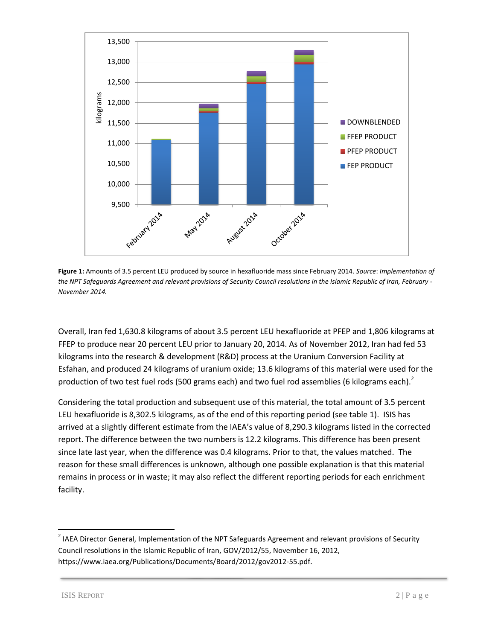

**Figure 1:** Amounts of 3.5 percent LEU produced by source in hexafluoride mass since February 2014. *Source*: *Implementation of the NPT Safeguards Agreement and relevant provisions of Security Council resolutions in the Islamic Republic of Iran, February - November 2014.*

Overall, Iran fed 1,630.8 kilograms of about 3.5 percent LEU hexafluoride at PFEP and 1,806 kilograms at FFEP to produce near 20 percent LEU prior to January 20, 2014. As of November 2012, Iran had fed 53 kilograms into the research & development (R&D) process at the Uranium Conversion Facility at Esfahan, and produced 24 kilograms of uranium oxide; 13.6 kilograms of this material were used for the production of two test fuel rods (500 grams each) and two fuel rod assemblies (6 kilograms each).<sup>2</sup>

Considering the total production and subsequent use of this material, the total amount of 3.5 percent LEU hexafluoride is 8,302.5 kilograms, as of the end of this reporting period (see table 1). ISIS has arrived at a slightly different estimate from the IAEA's value of 8,290.3 kilograms listed in the corrected report. The difference between the two numbers is 12.2 kilograms. This difference has been present since late last year, when the difference was 0.4 kilograms. Prior to that, the values matched. The reason for these small differences is unknown, although one possible explanation is that this material remains in process or in waste; it may also reflect the different reporting periods for each enrichment facility.

 $\overline{a}$ 

 $2$  IAEA Director General, Implementation of the NPT Safeguards Agreement and relevant provisions of Security Council resolutions in the Islamic Republic of Iran, GOV/2012/55, November 16, 2012, https://www.iaea.org/Publications/Documents/Board/2012/gov2012-55.pdf.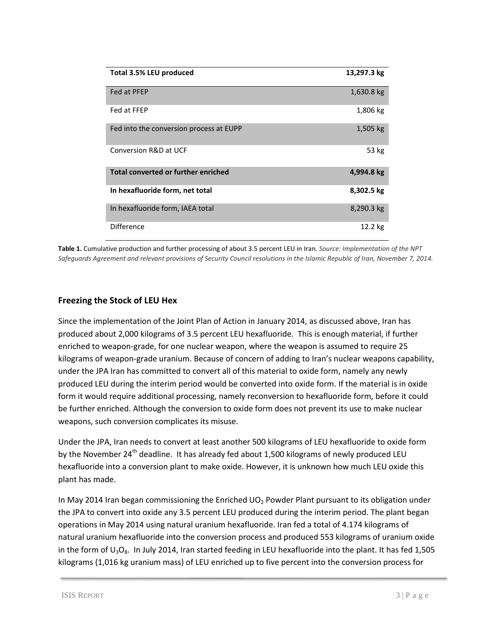| Total 3.5% LEU produced                    | 13,297.3 kg |
|--------------------------------------------|-------------|
| Fed at PFEP                                | 1,630.8 kg  |
| Fed at FFEP                                | 1,806 kg    |
| Fed into the conversion process at EUPP    | 1,505 kg    |
| Conversion R&D at UCF                      | 53 kg       |
| <b>Total converted or further enriched</b> | 4,994.8 kg  |
| In hexafluoride form, net total            | 8,302.5 kg  |
| In hexafluoride form, IAEA total           | 8,290.3 kg  |
| Difference                                 | 12.2 kg     |

**Table 1.** Cumulative production and further processing of about 3.5 percent LEU in Iran. *Source: Implementation of the NPT Safeguards Agreement and relevant provisions of Security Council resolutions in the Islamic Republic of Iran, November 7, 2014.*

## **Freezing the Stock of LEU Hex**

Since the implementation of the Joint Plan of Action in January 2014, as discussed above, Iran has produced about 2,000 kilograms of 3.5 percent LEU hexafluoride. This is enough material, if further enriched to weapon-grade, for one nuclear weapon, where the weapon is assumed to require 25 kilograms of weapon-grade uranium. Because of concern of adding to Iran's nuclear weapons capability, under the JPA Iran has committed to convert all of this material to oxide form, namely any newly produced LEU during the interim period would be converted into oxide form. If the material is in oxide form it would require additional processing, namely reconversion to hexafluoride form, before it could be further enriched. Although the conversion to oxide form does not prevent its use to make nuclear weapons, such conversion complicates its misuse.

Under the JPA, Iran needs to convert at least another 500 kilograms of LEU hexafluoride to oxide form by the November 24<sup>th</sup> deadline. It has already fed about 1,500 kilograms of newly produced LEU hexafluoride into a conversion plant to make oxide. However, it is unknown how much LEU oxide this plant has made.

In May 2014 Iran began commissioning the Enriched  $UO<sub>2</sub>$  Powder Plant pursuant to its obligation under the JPA to convert into oxide any 3.5 percent LEU produced during the interim period. The plant began operations in May 2014 using natural uranium hexafluoride. Iran fed a total of 4.174 kilograms of natural uranium hexafluoride into the conversion process and produced 553 kilograms of uranium oxide in the form of  $U_3O_8$ . In July 2014, Iran started feeding in LEU hexafluoride into the plant. It has fed 1,505 kilograms (1,016 kg uranium mass) of LEU enriched up to five percent into the conversion process for